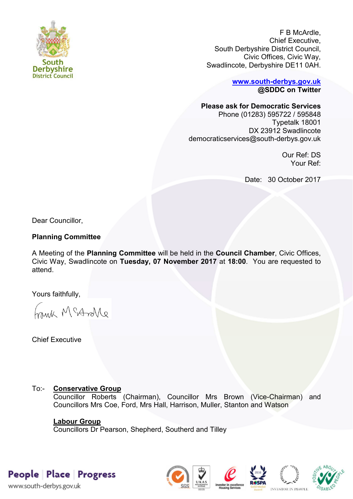

F B McArdle, Chief Executive, South Derbyshire District Council, Civic Offices, Civic Way, Swadlincote, Derbyshire DE11 0AH.

> **[www.south-derbys.gov.uk](http://www.south-derbys.gov.uk/) @SDDC on Twitter**

## **Please ask for Democratic Services**

Phone (01283) 595722 / 595848 Typetalk 18001 DX 23912 Swadlincote democraticservices@south-derbys.gov.uk

> Our Ref: DS Your Ref:

Date: 30 October 2017

Dear Councillor,

# **Planning Committee**

A Meeting of the **Planning Committee** will be held in the **Council Chamber**, Civic Offices, Civic Way, Swadlincote on **Tuesday, 07 November 2017** at **18:00**. You are requested to attend.

Yours faithfully,

brisk McAndre

Chief Executive

# To:- **Conservative Group**

Councillor Roberts (Chairman), Councillor Mrs Brown (Vice-Chairman) and Councillors Mrs Coe, Ford, Mrs Hall, Harrison, Muller, Stanton and Watson

# **Labour Group**

Councillors Dr Pearson, Shepherd, Southerd and Tilley

People Place Progress

www.south-derbys.gov.uk